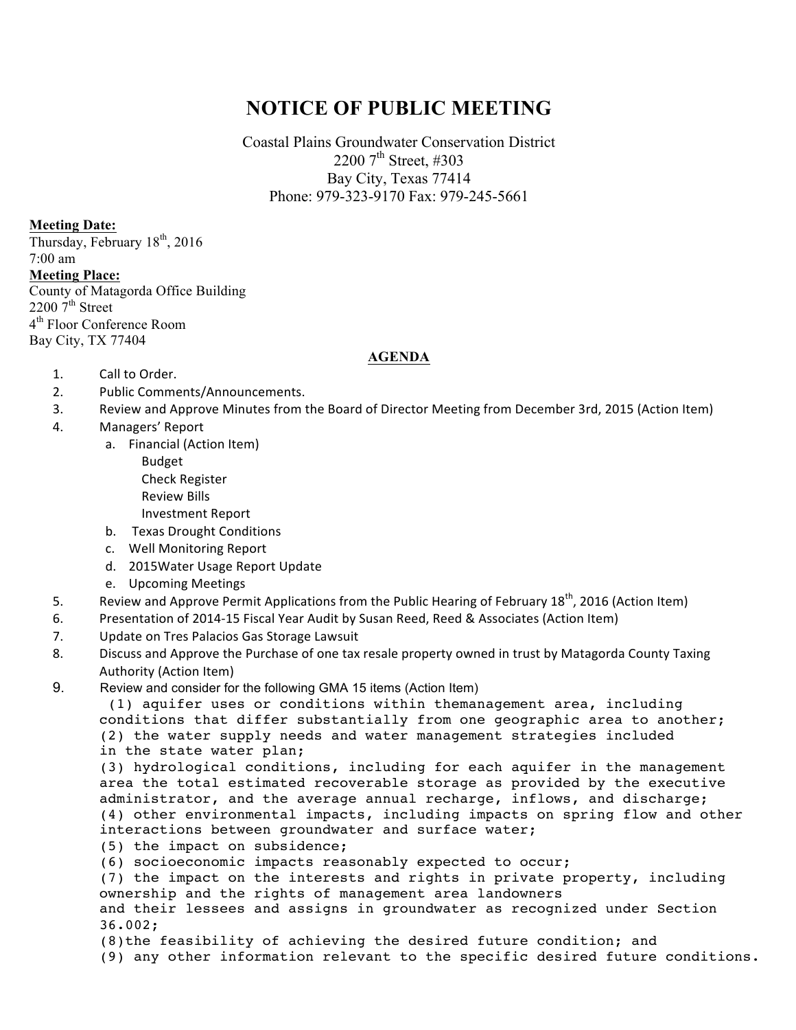## **NOTICE OF PUBLIC MEETING**

Coastal Plains Groundwater Conservation District 2200  $7^{\text{th}}$  Street, #303 Bay City, Texas 77414 Phone: 979-323-9170 Fax: 979-245-5661

**Meeting Date:**

Thursday, February 18<sup>th</sup>, 2016 7:00 am **Meeting Place:** County of Matagorda Office Building  $22007^{\text{th}}$  Street 4<sup>th</sup> Floor Conference Room Bay City, TX 77404

## **AGENDA**

- 1. Call to Order.
- 2. Public Comments/Announcements.
- 3. Review and Approve Minutes from the Board of Director Meeting from December 3rd, 2015 (Action Item)
- 4. Managers' Report
	- a. Financial (Action Item)
		- Budget
		- Check Register
		- Review Bills
		- Investment Report
	- b. Texas Drought Conditions
	- c. Well Monitoring Report
	- d. 2015Water Usage Report Update
	- e. Upcoming Meetings
- 5. Review and Approve Permit Applications from the Public Hearing of February  $18^{th}$ , 2016 (Action Item)
- 6. Presentation of 2014-15 Fiscal Year Audit by Susan Reed, Reed & Associates (Action Item)
- 7. Update on Tres Palacios Gas Storage Lawsuit
- 8. Discuss and Approve the Purchase of one tax resale property owned in trust by Matagorda County Taxing Authority (Action Item)
- 9. Review and consider for the following GMA 15 items (Action Item)

(1) aquifer uses or conditions within themanagement area, including conditions that differ substantially from one geographic area to another; (2) the water supply needs and water management strategies included in the state water plan;

(3) hydrological conditions, including for each aquifer in the management area the total estimated recoverable storage as provided by the executive administrator, and the average annual recharge, inflows, and discharge; (4) other environmental impacts, including impacts on spring flow and other interactions between groundwater and surface water;

- (5) the impact on subsidence;
- (6) socioeconomic impacts reasonably expected to occur;

(7) the impact on the interests and rights in private property, including ownership and the rights of management area landowners

and their lessees and assigns in groundwater as recognized under Section 36.002;

- (8)the feasibility of achieving the desired future condition; and
- (9) any other information relevant to the specific desired future conditions.